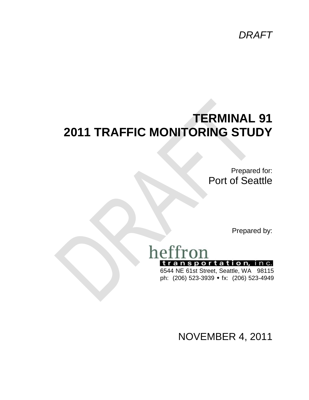*DRAFT*

# **TERMINAL 91 2011 TRAFFIC MONITORING STUDY**

Prepared for: Port of Seattle

Prepared by:

# heffron transportation, inc.

6544 NE 61st Street, Seattle, WA 98115 ph: (206) 523-3939 • fx: (206) 523-4949

NOVEMBER 4, 2011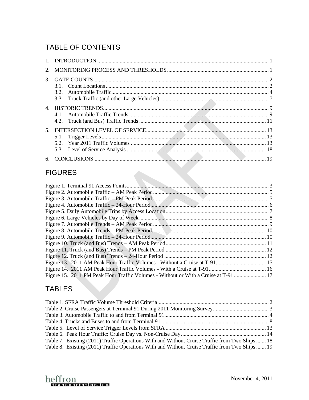## TABLE OF CONTENTS

### **FIGURES**

| Figure 15. 2011 PM Peak Hour Traffic Volumes - Without or With a Cruise at T-91  17 |  |
|-------------------------------------------------------------------------------------|--|

## TABLES

| Table 7. Existing (2011) Traffic Operations With and Without Cruise Traffic from Two Ships  18 |  |
|------------------------------------------------------------------------------------------------|--|
| Table 8. Existing (2011) Traffic Operations With and Without Cruise Traffic from Two Ships  19 |  |
|                                                                                                |  |

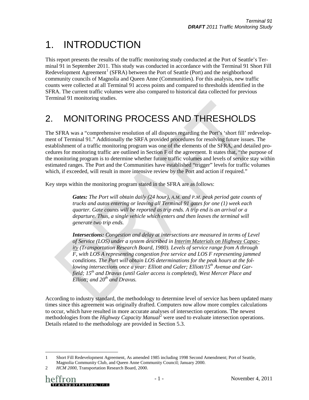# <span id="page-2-0"></span>1. INTRODUCTION

This report presents the results of the traffic monitoring study conducted at the Port of Seattle's Terminal 91 in September 2011. This study was conducted in accordance with the Terminal 91 Short Fill Redevelopment Agreement<sup>[1](#page-2-2)</sup> (SFRA) between the Port of Seattle (Port) and the neighborhood community councils of Magnolia and Queen Anne (Communities). For this analysis, new traffic counts were collected at all Terminal 91 access points and compared to thresholds identified in the SFRA. The current traffic volumes were also compared to historical data collected for previous Terminal 91 monitoring studies.

# <span id="page-2-1"></span>2. MONITORING PROCESS AND THRESHOLDS

The SFRA was a "comprehensive resolution of all disputes regarding the Port's 'short fill' redevelopment of Terminal 91." Additionally the SRFA provided procedures for resolving future issues. The establishment of a traffic monitoring program was one of the elements of the SFRA, and detailed procedures for monitoring traffic are outlined in Section F of the agreement. It states that, "the purpose of the monitoring program is to determine whether future traffic volumes and levels of service stay within estimated ranges. The Port and the Communities have established "trigger" levels for traffic volumes which, if exceeded, will result in more intensive review by the Port and action if required."

Key steps within the monitoring program stated in the SFRA are as follows:

*Gates: The Port will obtain daily (24 hour), A.M. and P.M. peak period gate counts of trucks and autos entering or leaving all Terminal 91 gates for one (1) week each quarter. Gate counts will be reported as trip ends. A trip end is an arrival or a departure. Thus, a single vehicle which enters and then leaves the terminal will generate two trip ends.* 

*Intersections: Congestion and delay at intersections are measured in terms of Level of Service (LOS) under a system described in Interim Materials on Highway Capacity (Transportation Research Board, 1980). Levels of service range from A through F, with LOS A representing congestion free service and LOS F representing jammed conditions. The Port will obtain LOS determinations for the peak hours at the fol*lowing intersections once a year: Elliott and Galer; Elliott/15<sup>th</sup> Avenue and Gar*field; 15th and Dravus (until Galer access is completed), West Mercer Place and Elliott; and 20<sup>th</sup> and Dravus.* 

According to industry standard, the methodology to determine level of service has been updated many times since this agreement was originally drafted. Computers now allow more complex calculations to occur, which have resulted in more accurate analyses of intersection operations. The newest methodologies from the *Highway Capacity Manual*<sup>[2](#page-2-3)</sup> were used to evaluate intersection operations. Details related to the methodology are provided in Section [5.3.](#page-19-0)

<span id="page-2-2"></span> <sup>1</sup> Short Fill Redevelopment Agreement, As amended 1985 including 1998 Second Amendment; Port of Seattle, Magnolia Community Club, and Queen Anne Community Council; January 2000.

<span id="page-2-3"></span><sup>2</sup> *HCM 2000*, Transportation Research Board, 2000.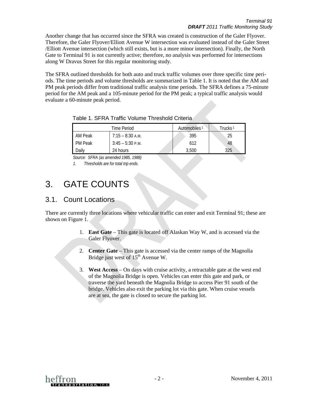Another change that has occurred since the SFRA was created is construction of the Galer Flyover. Therefore, the Galer Flyover/Elliott Avenue W intersection was evaluated instead of the Galer Street /Elliott Avenue intersection (which still exists, but is a more minor intersection). Finally, the North Gate to Terminal 91 is not currently active; therefore, no analysis was performed for intersections along W Dravus Street for this regular monitoring study.

The SFRA outlined thresholds for both auto and truck traffic volumes over three specific time periods. The time periods and volume thresholds are summarized in [Table 1.](#page-3-2) It is noted that the AM and PM peak periods differ from traditional traffic analysis time periods. The SFRA defines a 75-minute period for the AM peak and a 105-minute period for the PM peak; a typical traffic analysis would evaluate a 60-minute peak period.

|                 | Time Period        | Automobiles <sup>1</sup> | Trucks 1 |
|-----------------|--------------------|--------------------------|----------|
| AM Peak         | $7:15 - 8:30$ A.M. | 395                      | 25       |
| <b>PM Peak</b>  | $3:45 - 5:30$ P.M. | 612                      | 48       |
| Dailv           | 24 hours           | 3.500                    | 325      |
| -----<br>$\sim$ | .                  |                          |          |

#### <span id="page-3-2"></span>Table 1. SFRA Traffic Volume Threshold Criteria

*Source: SFRA (as amended 1985, 1988)*

*1. Thresholds are for total trip ends.* 

## <span id="page-3-0"></span>3. GATE COUNTS

### <span id="page-3-1"></span>3.1. Count Locations

There are currently three locations where vehicular traffic can enter and exit Terminal 91; these are shown on [Figure 1.](#page-4-0)

- 1. **East Gate**  This gate is located off Alaskan Way W, and is accessed via the Galer Flyover.
- 2. **Center Gate** This gate is accessed via the center ramps of the Magnolia Bridge just west of  $15<sup>th</sup>$  Avenue W.
- 3. **West Access** On days with cruise activity, a retractable gate at the west end of the Magnolia Bridge is open. Vehicles can enter this gate and park, or traverse the yard beneath the Magnolia Bridge to access Pier 91 south of the bridge. Vehicles also exit the parking lot via this gate. When cruise vessels are at sea, the gate is closed to secure the parking lot.

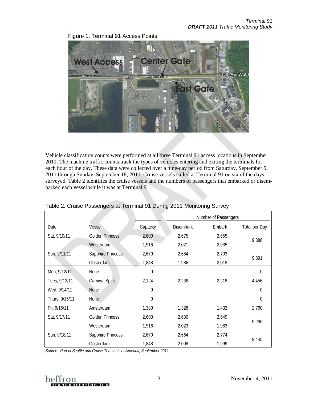

<span id="page-4-0"></span>Figure 1. Terminal 91 Access Points

Vehicle classification counts were performed at all three Terminal 91 access locations in September 2011. The machine traffic counts track the types of vehicles entering and exiting the terminals for each hour of the day. These data were collected over a nine-day period from Saturday, September 9, 2011 through Sunday, September 18, 2011. Cruise vessels called at Terminal 91 on six of the days surveyed. [Table 2](#page-4-1) identifies the cruise vessels and the numbers of passengers that embarked or disembarked each vessel while it was at Terminal 91.

|                |                        |          |                  | Number of Passengers |                      |  |
|----------------|------------------------|----------|------------------|----------------------|----------------------|--|
| Date           | Vessel                 | Capacity | <b>Disembark</b> | Embark               | <b>Total per Day</b> |  |
| Sat, 9/10/11   | <b>Golden Princess</b> | 2,600    | 2,675            | 2,655                |                      |  |
|                | Westerdam              | 1,916    | 2,021            | 2,035                | 9,386                |  |
| Sun, 9/11/11   | Sapphire Princess      | 2,670    | 2,684            | 2,703                |                      |  |
|                | Oosterdam              | 1,848    | 1,986            | 2,018                | 9,391                |  |
| Mon, 9/12/11   | None                   | 0        |                  |                      | 0                    |  |
| Tues, 9/13/11  | Carnival Spirit        | 2,124    | 2,238            | 2,218                | 4,456                |  |
| Wed, 9/14/11   | None                   | 0        |                  |                      | 0                    |  |
| Thurs, 9/15/11 | <b>None</b>            | 0        |                  |                      | 0                    |  |
| Fri, 9/16/11   | Amsterdam              | 1,380    | 1,328            | 1,432                | 2,760                |  |
| Sat, 9/17/11   | <b>Golden Princess</b> | 2,600    | 2,630            | 2,649                |                      |  |
|                | Westerdam              | 1,916    | 2,023            | 1,983                | 9,285                |  |
| Sun, 9/18/11   | Sapphire Princess      | 2,670    | 2,664            | 2,774                |                      |  |
|                | Oosterdam              | 1,848    | 2,008            | 1,999                | 9,445                |  |

#### <span id="page-4-1"></span>Table 2. Cruise Passengers at Terminal 91 During 2011 Monitoring Survey

*Source: Port of Seattle and Cruise Terminals of America, September 2011.* 

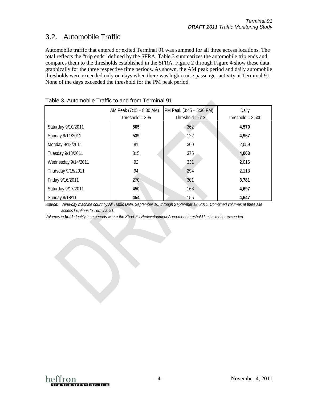$\Delta \mathbf{r}$ 

## <span id="page-5-0"></span>3.2. Automobile Traffic

Automobile traffic that entered or exited Terminal 91 was summed for all three access locations. The total reflects the "trip ends" defined by the SFRA. [Table 3](#page-5-1) summarizes the automobile trip ends and compares them to the thresholds established in the SFRA. [Figure 2](#page-6-0) through [Figure 4](#page-7-0) show these data graphically for the three respective time periods. As shown, the AM peak period and daily automobile thresholds were exceeded only on days when there was high cruise passenger activity at Terminal 91. None of the days exceeded the threshold for the PM peak period.

|                     | AM Peak (7:15 - 8:30 AM)<br>Threshold = $395$ | PM Peak (3:45 – 5:30 PM)<br>Threshold = $612$ | Daily<br>Threshold = $3,500$ |
|---------------------|-----------------------------------------------|-----------------------------------------------|------------------------------|
| Saturday 9/10/2011  | 505                                           | 362                                           | 4,570                        |
| Sunday 9/11/2011    | 539                                           | 122                                           | 4,957                        |
| Monday 9/12/2011    | 81                                            | 300                                           | 2,059                        |
| Tuesday 9/13/2011   | 315                                           | 375                                           | 4,063                        |
| Wednesday 9/14/2011 | 92                                            | 331                                           | 2,016                        |
| Thursday 9/15/2011  | 94                                            | 294                                           | 2,113                        |
| Friday 9/16/2011    | 270                                           | 301                                           | 3,781                        |
| Saturday 9/17/2011  | 450                                           | 163                                           | 4,697                        |
| Sunday 9/18/11      | 454                                           | 155                                           | 4,647                        |

<span id="page-5-1"></span>

| Table 3. Automobile Traffic to and from Terminal 91 |
|-----------------------------------------------------|
|-----------------------------------------------------|

*Source: Nine-day machine count by All Traffic Data, September 10, through September 18, 2011. Combined volumes at three site access locations to Terminal 91.*

*Volumes in bold identify time periods where the Short-Fill Redevelopment Agreement threshold limit is met or exceeded.*

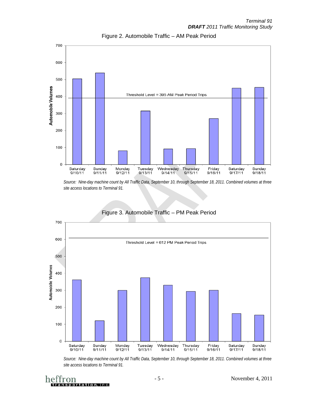<span id="page-6-0"></span>

Figure 2. Automobile Traffic – AM Peak Period

*Source: Nine-day machine count by All Traffic Data, September 10, through September 18, 2011. Combined volumes at three site access locations to Terminal 91.*

<span id="page-6-1"></span>

#### Figure 3. Automobile Traffic – PM Peak Period

*Source: Nine-day machine count by All Traffic Data, September 10, through September 18, 2011. Combined volumes at three site access locations to Terminal 91.*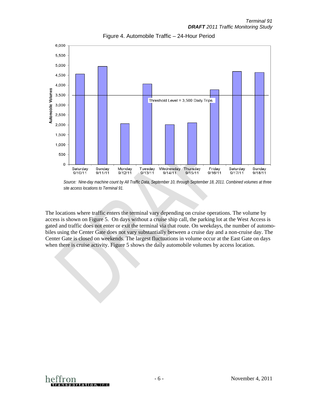<span id="page-7-0"></span>

Figure 4. Automobile Traffic – 24-Hour Period

The locations where traffic enters the terminal vary depending on cruise operations. The volume by access is shown on [Figure 5.](#page-8-1) On days without a cruise ship call, the parking lot at the West Access is gated and traffic does not enter or exit the terminal via that route. On weekdays, the number of automobiles using the Center Gate does not vary substantially between a cruise day and a non-cruise day. The Center Gate is closed on weekends. The largest fluctuations in volume occur at the East Gate on days when there is cruise activity. [Figure 5](#page-8-1) shows the daily automobile volumes by access location.



*Source: Nine-day machine count by All Traffic Data, September 10, through September 18, 2011. Combined volumes at three site access locations to Terminal 91.*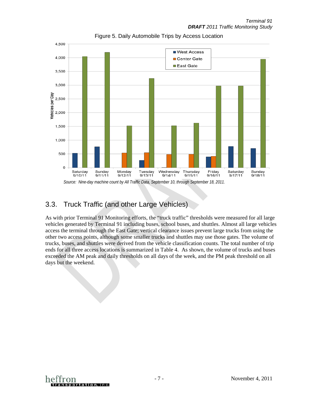<span id="page-8-1"></span>

Figure 5. Daily Automobile Trips by Access Location

### <span id="page-8-0"></span>3.3. Truck Traffic (and other Large Vehicles)

As with prior Terminal 91 Monitoring efforts, the "truck traffic" thresholds were measured for all large vehicles generated by Terminal 91 including buses, school buses, and shuttles. Almost all large vehicles access the terminal through the East Gate; vertical clearance issues prevent large trucks from using the other two access points, although some smaller trucks and shuttles may use those gates. The volume of trucks, buses, and shuttles were derived from the vehicle classification counts. The total number of trip ends for all three access locations is summarized in [Table 4.](#page-9-1) As shown, the volume of trucks and buses exceeded the AM peak and daily thresholds on all days of the week, and the PM peak threshold on all days but the weekend.

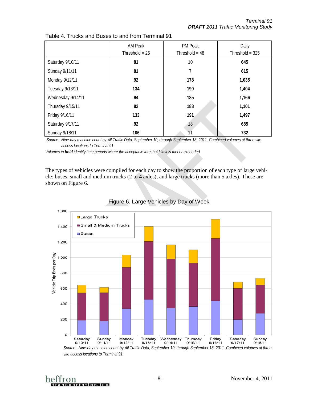|                   | AM Peak          | PM Peak          | Daily             |
|-------------------|------------------|------------------|-------------------|
|                   | Threshold = $25$ | Threshold = $48$ | Threshold = $325$ |
| Saturday 9/10/11  | 81               | 10               | 645               |
| Sunday 9/11/11    | 81               | 7                | 615               |
| Monday 9/12/11    | 92               | 178              | 1,035             |
| Tuesday 9/13/11   | 134              | 190              | 1,404             |
| Wednesday 9/14/11 | 94               | 185              | 1,166             |
| Thursday 9/15/11  | 82               | 188              | 1,101             |
| Friday 9/16/11    | 133              | 191              | 1,497             |
| Saturday 9/17/11  | 92               | 18               | 685               |
| Sunday 9/18/11    | 106              |                  | 732               |

<span id="page-9-1"></span>

| Table 4. Trucks and Buses to and from Terminal 91 |
|---------------------------------------------------|
|---------------------------------------------------|

*Source: Nine-day machine count by All Traffic Data, September 10, through September 18, 2011. Combined volumes at three site access locations to Terminal 91.*

*Volumes in bold identify time periods where the acceptable threshold limit is met or exceeded*

<span id="page-9-0"></span>The types of vehicles were compiled for each day to show the proportion of each type of large vehicle: buses, small and medium trucks (2 to 4 axles), and large trucks (more than 5 axles). These are shown on [Figure 6.](#page-9-0)



Figure 6. Large Vehicles by Day of Week

*Source: Nine-day machine count by All Traffic Data, September 10, through September 18, 2011. Combined volumes at three site access locations to Terminal 91.*

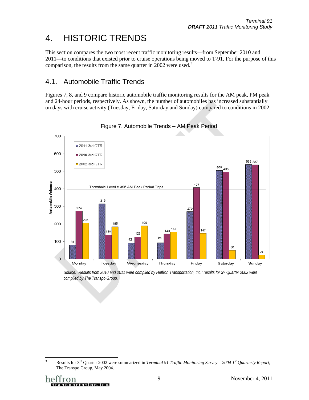# <span id="page-10-0"></span>4. HISTORIC TRENDS

This section compares the two most recent traffic monitoring results—from September 2010 and 2011—to conditions that existed prior to cruise operations being moved to T-91. For the purpose of this comparison, the results from the same quarter in 2002 were used.<sup>[3](#page-10-3)</sup>

### <span id="page-10-1"></span>4.1. Automobile Traffic Trends

<span id="page-10-2"></span>Figures 7, 8, and 9 compare historic automobile traffic monitoring results for the AM peak, PM peak and 24-hour periods, respectively. As shown, the number of automobiles has increased substantially on days with cruise activity (Tuesday, Friday, Saturday and Sunday) compared to conditions in 2002.



Figure 7. Automobile Trends – AM Peak Period

<span id="page-10-3"></span> <sup>3</sup> Results for 3rd Quarter 2002 were summarized in *Terminal 91 Traffic Monitoring Survey – 2004 1st Quarterly Report,*  The Transpo Group, May 2004.

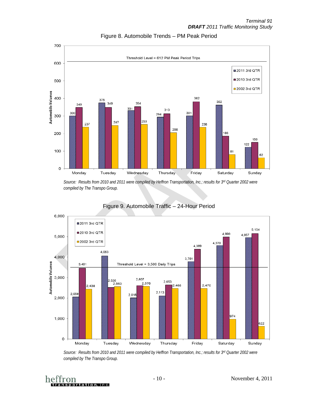<span id="page-11-0"></span>

Figure 8. Automobile Trends – PM Peak Period

*Source: Results from 2010 and 2011 were compiled by Heffron Transportation, Inc.; results for 3rd Quarter 2002 were compiled by The Transpo Group.* 

<span id="page-11-1"></span>

### Figure 9. Automobile Traffic – 24-Hour Period

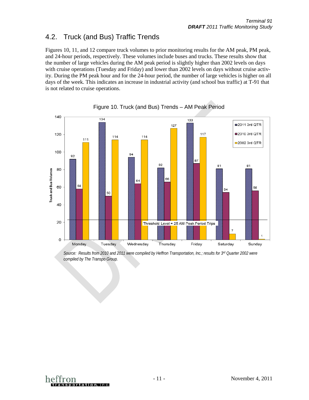### <span id="page-12-0"></span>4.2. Truck (and Bus) Traffic Trends

Figures 10, 11, and 12 compare truck volumes to prior monitoring results for the AM peak, PM peak, and 24-hour periods, respectively. These volumes include buses and trucks. These results show that the number of large vehicles during the AM peak period is slightly higher than 2002 levels on days with cruise operations (Tuesday and Friday) and lower than 2002 levels on days without cruise activity. During the PM peak hour and for the 24-hour period, the number of large vehicles is higher on all days of the week. This indicates an increase in industrial activity (and school bus traffic) at T-91 that is not related to cruise operations.

<span id="page-12-1"></span>



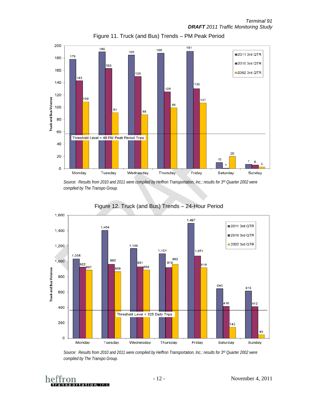*Terminal 91 DRAFT 2011 Traffic Monitoring Study*

<span id="page-13-0"></span>

Figure 11. Truck (and Bus) Trends – PM Peak Period

*Source: Results from 2010 and 2011 were compiled by Heffron Transportation, Inc.; results for 3rd Quarter 2002 were compiled by The Transpo Group.* 

<span id="page-13-1"></span>

#### Figure 12. Truck (and Bus) Trends – 24-Hour Period

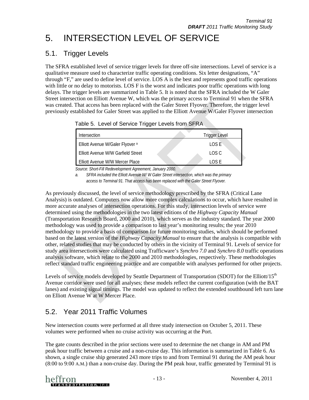# <span id="page-14-0"></span>5. INTERSECTION LEVEL OF SERVICE

### <span id="page-14-1"></span>5.1. Trigger Levels

The SFRA established level of service trigger levels for three off-site intersections. Level of service is a qualitative measure used to characterize traffic operating conditions. Six letter designations, "A" through "F," are used to define level of service. LOS A is the best and represents good traffic operations with little or no delay to motorists. LOS F is the worst and indicates poor traffic operations with long delays. The trigger levels are summarized in [Table 5.](#page-14-3) It is noted that the SFRA included the W Galer Street intersection on Elliott Avenue W, which was the primary access to Terminal 91 when the SFRA was created. That access has been replaced with the Galer Street Flyover. Therefore, the trigger level previously established for Galer Street was applied to the Elliott Avenue W/Galer Flyover intersection

<span id="page-14-3"></span>Table 5. Level of Service Trigger Levels from SFRA

| Intersection                                | <b>Trigger Level</b> |
|---------------------------------------------|----------------------|
| Elliott Avenue W/Galer Flyover <sup>a</sup> | LOS E                |
| Elliott Avenue W/W Garfield Street          | LOS C                |
| Elliott Avenue W/W Mercer Place             | LOS E                |

*Source: Short-Fill Redevelopment Agreement, January 2000.* 

*a. SFRA included the Elliott Avenue W/ W Galer Street intersection, which was the primary access to Terminal 91. That access has been replaced with the Galer Street Flyover.* 

As previously discussed, the level of service methodology prescribed by the SFRA (Critical Lane Analysis) is outdated. Computers now allow more complex calculations to occur, which have resulted in more accurate analyses of intersection operations. For this study, intersection levels of service were determined using the methodologies in the two latest editions of the *Highway Capacity Manual* (Transportation Research Board, 2000 and 2010), which serves as the industry standard. The year 2000 methodology was used to provide a comparison to last year's monitoring results; the year 2010 methodology to provide a basis of comparison for future monitoring studies, which should be performed based on the latest version of the *Highway Capacity Manual* to ensure that the analysis is compatible with other, related studies that may be conducted by others in the vicinity of Terminal 91*.* Levels of service for study area intersections were calculated using Trafficware's *Synchro 7.0* and *Synchro 8.0* traffic operations analysis software, which relate to the 2000 and 2010 methodologies, respectively. These methodologies reflect standard traffic engineering practice and are compatible with analyses performed for other projects.

Levels of service models developed by Seattle Department of Transportation (SDOT) for the Elliott/ $15<sup>th</sup>$ Avenue corridor were used for all analyses; these models reflect the current configuration (with the BAT lanes) and existing signal timings. The model was updated to reflect the extended southbound left turn lane on Elliott Avenue W at W Mercer Place.

## <span id="page-14-2"></span>5.2. Year 2011 Traffic Volumes

New intersection counts were performed at all three study intersection on October 5, 2011. These volumes were performed when no cruise activity was occurring at the Port.

The gate counts described in the prior sections were used to determine the net change in AM and PM peak hour traffic between a cruise and a non-cruise day. This information is summarized in [Table 6.](#page-15-0) As shown, a single cruise ship generated 243 more trips to and from Terminal 91 during the AM peak hour (8:00 to 9:00 A.M.) than a non-cruise day. During the PM peak hour, traffic generated by Terminal 91 is

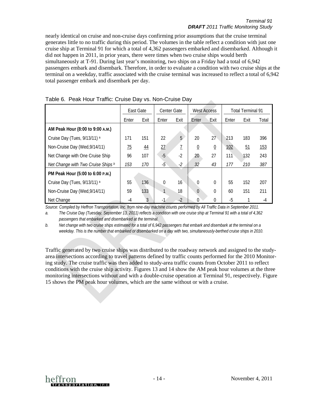#### *Terminal 91 DRAFT 2011 Traffic Monitoring Study*

nearly identical on cruise and non-cruise days confirming prior assumptions that the cruise terminal generates little to no traffic during this period. The volumes in the table reflect a condition with just one cruise ship at Terminal 91 for which a total of 4,362 passengers embarked and disembarked. Although it did not happen in 2011, in prior years, there were times when two cruise ships would berth simultaneously at T-91. During last year's monitoring, two ships on a Friday had a total of 6,942 passengers embark and disembark. Therefore, in order to evaluate a condition with two cruise ships at the terminal on a weekday, traffic associated with the cruise terminal was increased to reflect a total of 6,942 total passenger embark and disembark per day.

| , apic of Toak Hoar Hamo, Oraloo Day vol. Non Oraloo Day |                 |               |                    |                |                    |                  |                          |      |       |
|----------------------------------------------------------|-----------------|---------------|--------------------|----------------|--------------------|------------------|--------------------------|------|-------|
|                                                          | East Gate       |               | <b>Center Gate</b> |                | <b>West Access</b> |                  | <b>Total Terminal 91</b> |      |       |
|                                                          | Enter           | Exit          | Enter              | Exit           | Enter              | Exit             | Enter                    | Exit | Total |
| AM Peak Hour (8:00 to 9:00 A.M.)                         |                 |               |                    |                |                    |                  |                          |      |       |
| Cruise Day (Tues, 9/13/11) a                             | 171             | 151           | 22                 | 5              | 20                 | 27               | 213                      | 183  | 396   |
| Non-Cruise Day (Wed, 9/14/11)                            | $\overline{75}$ | $\frac{44}{}$ | 27                 | $\overline{1}$ | $\overline{0}$     | $\underline{0}$  | 102                      | 51   | 153   |
| Net Change with One Cruise Ship                          | 96              | 107           | $-5$               | $-2$           | 20                 | 27               | 111                      | 132  | 243   |
| Net Change with Two Cruise Ships b                       | 153             | 170           | $-5$               | $-2$           | 32                 | 43               | 177                      | 210  | 387   |
| PM Peak Hour (5:00 to 6:00 P.M.)                         |                 |               |                    |                |                    |                  |                          |      |       |
| Cruise Day (Tues, 9/13/11) a                             | 55              | 136           | 0                  | 16             | $\theta$           | $\mathbf 0$      | 55                       | 152  | 207   |
| Non-Cruise Day (Wed, 9/14/11)                            | 59              | 133           | 1                  | 18             | $\theta$           | $\boldsymbol{0}$ | 60                       | 151  | 211   |
| Net Change                                               | -4              | 3             | $-1$               | $-2$           | $\Omega$           | $\theta$         | $-5$                     |      | -4    |

<span id="page-15-0"></span>

|  |  | Table 6. Peak Hour Traffic: Cruise Day vs. Non-Cruise Day |
|--|--|-----------------------------------------------------------|
|  |  |                                                           |

*Source: Compiled by Heffron Transportation, Inc. from nine-day machine counts performed by All Traffic Data in September 2011.*

*a. The Cruise Day (Tuesday, September 13, 2011) reflects a condition with one cruise ship at Terminal 91 with a total of 4,362 passengers that embarked and disembarked at the terminal.* 

*b. Net change with two cruise ships estimated for a total of 6,942 passengers that embark and disembark at the terminal on a weekday. This is the number that embarked or disembarked on a day with two, simultaneously-berthed cruise ships in 2010.*

Traffic generated by two cruise ships was distributed to the roadway network and assigned to the studyarea intersections according to travel patterns defined by traffic counts performed for the 2010 Monitoring study. The cruise traffic was then added to study-area traffic counts from October 2011 to reflect conditions with the cruise ship activity. Figures 13 and 14 show the AM peak hour volumes at the three monitoring intersections without and with a double-cruise operation at Terminal 91, respectively[. Figure](#page-18-0)  [15](#page-18-0) shows the PM peak hour volumes, which are the same without or with a cruise.

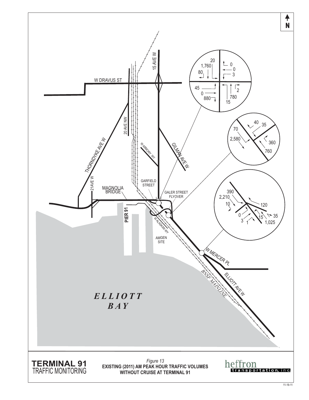<span id="page-16-0"></span>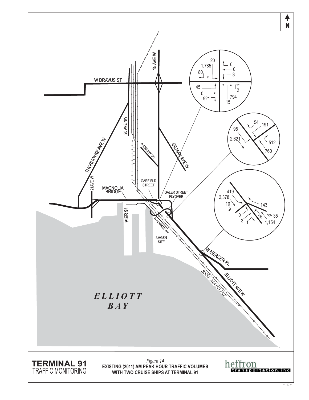<span id="page-17-0"></span>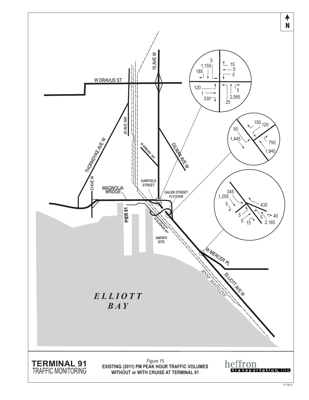<span id="page-18-0"></span>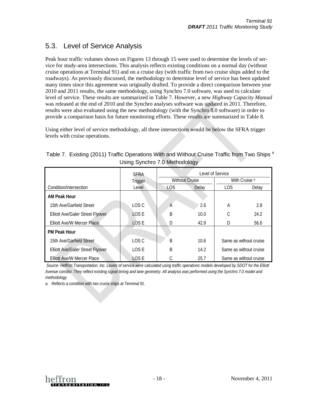### <span id="page-19-0"></span>5.3. Level of Service Analysis

Peak hour traffic volumes shown on Figures 13 through 15 were used to determine the levels of service for study-area intersections. This analysis reflects existing conditions on a normal day (without cruise operations at Terminal 91) and on a cruise day (with traffic from two cruise ships added to the roadways). As previously discussed, the methodology to determine level of service has been updated many times since this agreement was originally drafted. To provide a direct comparison between year 2010 and 2011 results, the same methodology, using Synchro 7.0 software, was used to calculate level of service. These results are summarized in [Table 7.](#page-19-1) However, a new *Highway Capacity Manual* was released at the end of 2010 and the Synchro analyses software was updated in 2011. Therefore, results were also evaluated using the new methodology (with the Synchro 8.0 software) in order to provide a comparison basis for future monitoring efforts. These results are summarized i[n Table 8.](#page-20-1)

Using either level of service methodology, all three intersections would be below the SFRA trigger levels with cruise operations.

|                                         | <b>SFRA</b> | Level of Service      |       |                          |       |
|-----------------------------------------|-------------|-----------------------|-------|--------------------------|-------|
|                                         | Trigger     | <b>Without Cruise</b> |       | With Cruise <sup>a</sup> |       |
| Condition/Intersection                  | Level       | LOS.                  | Delay | <b>LOS</b>               | Delay |
| <b>AM Peak Hour</b>                     |             |                       |       |                          |       |
| 15th Ave/Garfield Street                | LOS C       | A                     | 2.6   | A                        | 2.8   |
| Elliott Ave/Galer Street Flyover        | LOS E       | B                     | 10.0  | С                        | 24.2  |
| Elliott Ave/W Mercer Place              | LOS E       | D                     | 42.9  | D                        | 56.6  |
| <b>PM Peak Hour</b>                     |             |                       |       |                          |       |
| 15th Ave/Garfield Street                | LOS C       | B                     | 10.6  | Same as without cruise   |       |
| <b>Elliott Ave/Galer Street Flyover</b> | LOS E       | B                     | 14.2  | Same as without cruise   |       |
| <b>Elliott Ave/W Mercer Place</b>       | LOS E       |                       | 25.7  | Same as without cruise   |       |

<span id="page-19-1"></span>Table 7. Existing (2011) Traffic Operations With and Without Cruise Traffic from Two Ships <sup>a</sup> Using Synchro 7.0 Methodology

*Source: Heffron Transportation, Inc. Levels of service were calculated using traffic operations models developed by SDOT for the Elliott Avenue corridor. They reflect existing signal timing and lane geometry. All analysis was performed using the Synchro 7.0 model and methodology.* 

*a. Reflects a condition with two cruise ships at Terminal 91.*